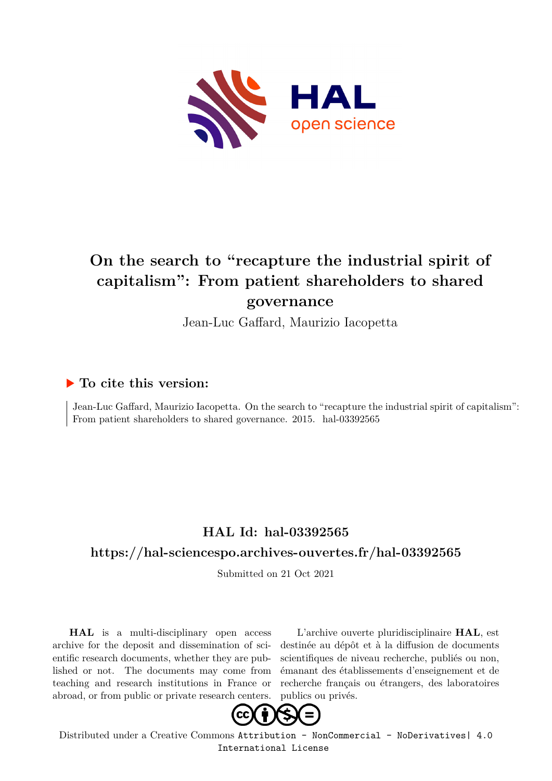

# **On the search to "recapture the industrial spirit of capitalism": From patient shareholders to shared governance**

Jean-Luc Gaffard, Maurizio Iacopetta

### **To cite this version:**

Jean-Luc Gaffard, Maurizio Iacopetta. On the search to "recapture the industrial spirit of capitalism": From patient shareholders to shared governance. 2015. hal-03392565

## **HAL Id: hal-03392565**

### **<https://hal-sciencespo.archives-ouvertes.fr/hal-03392565>**

Submitted on 21 Oct 2021

**HAL** is a multi-disciplinary open access archive for the deposit and dissemination of scientific research documents, whether they are published or not. The documents may come from teaching and research institutions in France or abroad, or from public or private research centers.

L'archive ouverte pluridisciplinaire **HAL**, est destinée au dépôt et à la diffusion de documents scientifiques de niveau recherche, publiés ou non, émanant des établissements d'enseignement et de recherche français ou étrangers, des laboratoires publics ou privés.



Distributed under a Creative Commons [Attribution - NonCommercial - NoDerivatives| 4.0](http://creativecommons.org/licenses/by-nc-nd/4.0/) [International License](http://creativecommons.org/licenses/by-nc-nd/4.0/)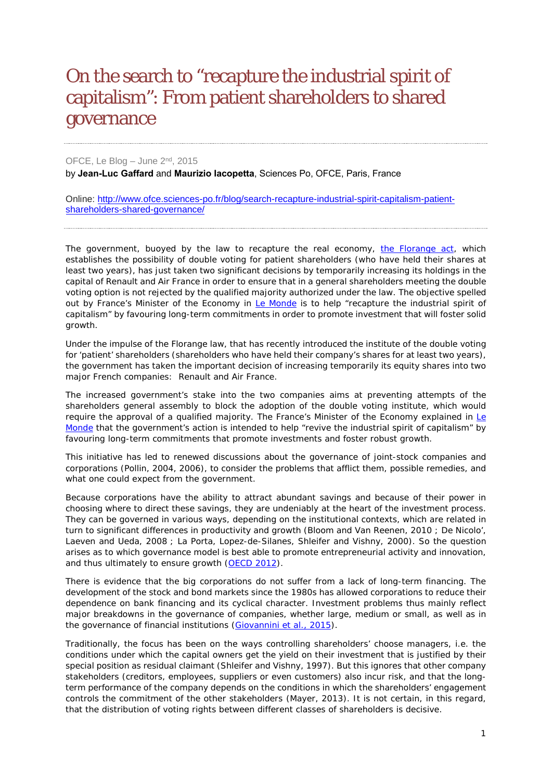# [On the search to "recapture the industrial spirit of](https://www.ofce.sciences-po.fr/blog/search-recapture-industrial-spirit-capitalism-patient-shareholders-shared-governance/)  [capitalism": From patient shareholders to shared](https://www.ofce.sciences-po.fr/blog/search-recapture-industrial-spirit-capitalism-patient-shareholders-shared-governance/)  [governance](https://www.ofce.sciences-po.fr/blog/search-recapture-industrial-spirit-capitalism-patient-shareholders-shared-governance/)

OFCE, Le Blog – June 2<sup>nd</sup>, 2015 by **Jean-Luc Gaffard** and **Maurizio Iacopetta**, Sciences Po, OFCE, Paris, France

Online: [http://www.ofce.sciences-po.fr/blog/search-recapture-industrial-spirit-capitalism-patient](http://www.ofce.sciences-po.fr/blog/climat-trump-souffle-le-chaud-et-leffroi/)[shareholders-shared-governance/](http://www.ofce.sciences-po.fr/blog/climat-trump-souffle-le-chaud-et-leffroi/)

The government, buoyed by the law to recapture the real economy, [the Florange act,](http://www.legifrance.gouv.fr/affichTexte.do?cidTexte=JORFTEXT000028811102&dateTexte=&categorieLien=id) which establishes the possibility of double voting for patient shareholders (who have held their shares at least two years), has just taken two significant decisions by temporarily increasing its holdings in the capital of Renault and Air France in order to ensure that in a general shareholders meeting the double voting option is not rejected by the qualified majority authorized under the law. The objective spelled out by France's Minister of the Economy in *[Le Monde](http://www.lemonde.fr/economie/article/2015/04/24/emmanuel-macron-veut-retrouver-l-esprit-industriel-du-capitalisme_4621914_3234.html)* is to help "recapture the industrial spirit of capitalism" by favouring long-term commitments in order to promote investment that will foster solid growth.

Under the impulse of the Florange law, that has recently introduced the institute of the double voting for 'patient' shareholders (shareholders who have held their company's shares for at least two years), the government has taken the important decision of increasing temporarily its equity shares into two major French companies: Renault and Air France.

The increased government's stake into the two companies aims at preventing attempts of the shareholders general assembly to block the adoption of the double voting institute, which would require the approval of a qualified majority. The France's Minister of the Economy explained in  $I\epsilon$ [Monde](http://www.lemonde.fr/economie/article/2015/04/24/emmanuel-macron-veut-retrouver-l-esprit-industriel-du-capitalisme_4621914_3234.html) that the government's action is intended to help "revive the industrial spirit of capitalism" by favouring long-term commitments that promote investments and foster robust growth.

This initiative has led to renewed discussions about the governance of joint-stock companies and corporations (Pollin, 2004, 2006), to consider the problems that afflict them, possible remedies, and what one could expect from the government.

Because corporations have the ability to attract abundant savings and because of their power in choosing where to direct these savings, they are undeniably at the heart of the investment process. They can be governed in various ways, depending on the institutional contexts, which are related in turn to significant differences in productivity and growth (Bloom and Van Reenen, 2010 ; De Nicolo', Laeven and Ueda, 2008 ; La Porta, Lopez-de-Silanes, Shleifer and Vishny, 2000). So the question arises as to which governance model is best able to promote entrepreneurial activity and innovation, and thus ultimately to ensure growth [\(OECD 2012\)](http://www.oecd.org/corporate/ca/corporategovernanceprinciples/50242938.pdf).

There is evidence that the big corporations do not suffer from a lack of long-term financing. The development of the stock and bond markets since the 1980s has allowed corporations to reduce their dependence on bank financing and its cyclical character. Investment problems thus mainly reflect major breakdowns in the governance of companies, whether large, medium or small, as well as in the governance of financial institutions [\(Giovannini](http://www.voxeu.org/article/green-paper-restarting-european-long-term-investment-finance) *et al.*, 2015).

Traditionally, the focus has been on the ways controlling shareholders' choose managers, *i.e.* the conditions under which the capital owners get the yield on their investment that is justified by their special position as residual claimant (Shleifer and Vishny, 1997). But this ignores that other company stakeholders (creditors, employees, suppliers or even customers) also incur risk, and that the longterm performance of the company depends on the conditions in which the shareholders' engagement controls the commitment of the other stakeholders (Mayer, 2013). It is not certain, in this regard, that the distribution of voting rights between different classes of shareholders is decisive.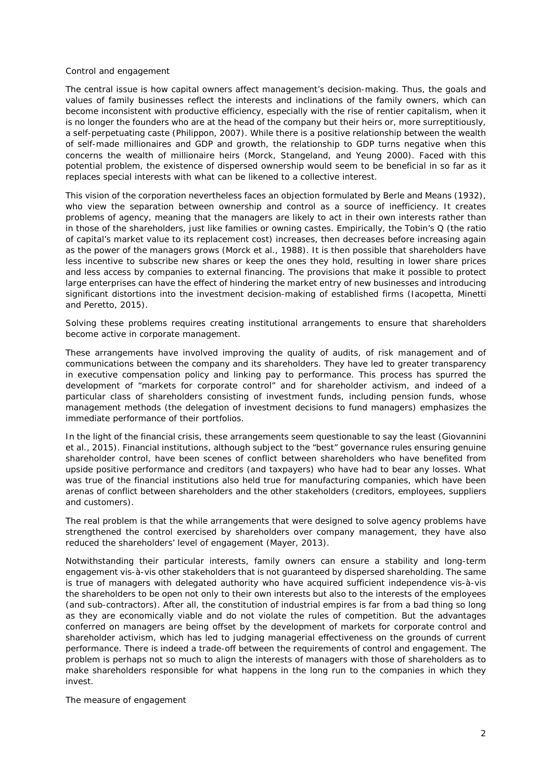#### *Control and engagement*

The central issue is how capital owners affect management's decision-making. Thus, the goals and values of family businesses reflect the interests and inclinations of the family owners, which can become inconsistent with productive efficiency, especially with the rise of rentier capitalism, when it is no longer the founders who are at the head of the company but their heirs or, more surreptitiously, a self-perpetuating caste (Philippon, 2007). While there is a positive relationship between the wealth of self-made millionaires and GDP and growth, the relationship to GDP turns negative when this concerns the wealth of millionaire heirs (Morck, Stangeland, and Yeung 2000). Faced with this potential problem, the existence of dispersed ownership would seem to be beneficial in so far as it replaces special interests with what can be likened to a collective interest.

This vision of the corporation nevertheless faces an objection formulated by Berle and Means (1932), who view the separation between ownership and control as a source of inefficiency. It creates problems of agency, meaning that the managers are likely to act in their own interests rather than in those of the shareholders, just like families or owning castes. Empirically, the Tobin's Q (the ratio of capital's market value to its replacement cost) increases, then decreases before increasing again as the power of the managers grows (Morck *et al.*, 1988). It is then possible that shareholders have less incentive to subscribe new shares or keep the ones they hold, resulting in lower share prices and less access by companies to external financing. The provisions that make it possible to protect large enterprises can have the effect of hindering the market entry of new businesses and introducing significant distortions into the investment decision-making of established firms (Iacopetta, Minetti and Peretto, 2015).

Solving these problems requires creating institutional arrangements to ensure that shareholders become active in corporate management.

These arrangements have involved improving the quality of audits, of risk management and of communications between the company and its shareholders. They have led to greater transparency in executive compensation policy and linking pay to performance. This process has spurred the development of "markets for corporate control" and for shareholder activism, and indeed of a particular class of shareholders consisting of investment funds, including pension funds, whose management methods (the delegation of investment decisions to fund managers) emphasizes the immediate performance of their portfolios.

In the light of the financial crisis, these arrangements seem questionable to say the least (Giovannini et al., 2015). Financial institutions, although subject to the "best" governance rules ensuring genuine shareholder control, have been scenes of conflict between shareholders who have benefited from upside positive performance and creditors (and taxpayers) who have had to bear any losses. What was true of the financial institutions also held true for manufacturing companies, which have been arenas of conflict between shareholders and the other stakeholders (creditors, employees, suppliers and customers).

The real problem is that the while arrangements that were designed to solve agency problems have strengthened the control exercised by shareholders over company management, they have also reduced the shareholders' level of engagement (Mayer, 2013).

Notwithstanding their particular interests, family owners can ensure a stability and long-term engagement vis-à-vis other stakeholders that is not guaranteed by dispersed shareholding. The same is true of managers with delegated authority who have acquired sufficient independence vis-à-vis the shareholders to be open not only to their own interests but also to the interests of the employees (and sub-contractors). After all, the constitution of industrial empires is far from a bad thing so long as they are economically viable and do not violate the rules of competition. But the advantages conferred on managers are being offset by the development of markets for corporate control and shareholder activism, which has led to judging managerial effectiveness on the grounds of current performance. There is indeed a trade-off between the requirements of control and engagement. The problem is perhaps not so much to align the interests of managers with those of shareholders as to make shareholders responsible for what happens in the long run to the companies in which they invest.

*The measure of engagement*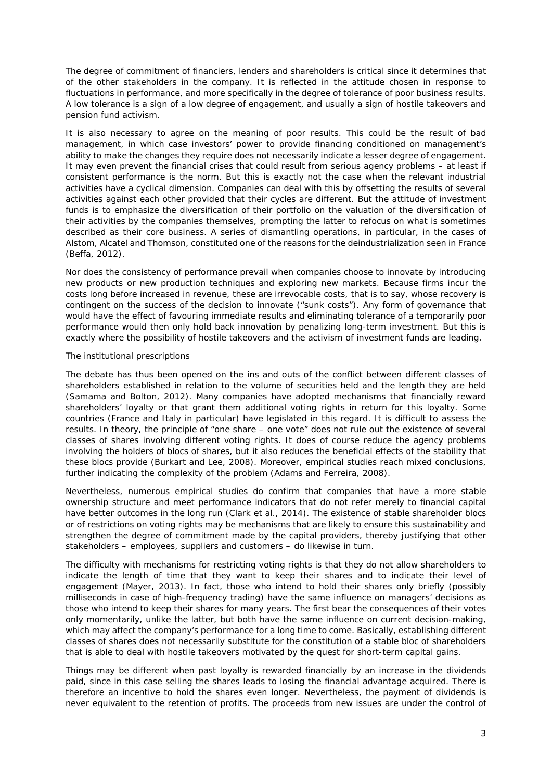The degree of commitment of financiers, lenders and shareholders is critical since it determines that of the other stakeholders in the company. It is reflected in the attitude chosen in response to fluctuations in performance, and more specifically in the degree of tolerance of poor business results. A low tolerance is a sign of a low degree of engagement, and usually a sign of hostile takeovers and pension fund activism.

It is also necessary to agree on the meaning of poor results. This could be the result of bad management, in which case investors' power to provide financing conditioned on management's ability to make the changes they require does not necessarily indicate a lesser degree of engagement. It may even prevent the financial crises that could result from serious agency problems – at least if consistent performance is the norm. But this is exactly not the case when the relevant industrial activities have a cyclical dimension. Companies can deal with this by offsetting the results of several activities against each other provided that their cycles are different. But the attitude of investment funds is to emphasize the diversification of their portfolio on the valuation of the diversification of their activities by the companies themselves, prompting the latter to refocus on what is sometimes described as their core business. A series of dismantling operations, in particular, in the cases of Alstom, Alcatel and Thomson, constituted one of the reasons for the deindustrialization seen in France (Beffa, 2012).

Nor does the consistency of performance prevail when companies choose to innovate by introducing new products or new production techniques and exploring new markets. Because firms incur the costs long before increased in revenue, these are irrevocable costs, that is to say, whose recovery is contingent on the success of the decision to innovate ("sunk costs"). Any form of governance that would have the effect of favouring immediate results and eliminating tolerance of a temporarily poor performance would then only hold back innovation by penalizing long-term investment. But this is exactly where the possibility of hostile takeovers and the activism of investment funds are leading.

### *The institutional prescriptions*

The debate has thus been opened on the ins and outs of the conflict between different classes of shareholders established in relation to the volume of securities held and the length they are held (Samama and Bolton, 2012). Many companies have adopted mechanisms that financially reward shareholders' loyalty or that grant them additional voting rights in return for this loyalty. Some countries (France and Italy in particular) have legislated in this regard. It is difficult to assess the results. In theory, the principle of "one share – one vote" does not rule out the existence of several classes of shares involving different voting rights. It does of course reduce the agency problems involving the holders of blocs of shares, but it also reduces the beneficial effects of the stability that these blocs provide (Burkart and Lee, 2008). Moreover, empirical studies reach mixed conclusions, further indicating the complexity of the problem (Adams and Ferreira, 2008).

Nevertheless, numerous empirical studies do confirm that companies that have a more stable ownership structure and meet performance indicators that do not refer merely to financial capital have better outcomes in the long run (Clark et al., 2014). The existence of stable shareholder blocs or of restrictions on voting rights may be mechanisms that are likely to ensure this sustainability and strengthen the degree of commitment made by the capital providers, thereby justifying that other stakeholders – employees, suppliers and customers – do likewise in turn.

The difficulty with mechanisms for restricting voting rights is that they do not allow shareholders to indicate the length of time that they want to keep their shares and to indicate their level of engagement (Mayer, 2013). In fact, those who intend to hold their shares only briefly (possibly milliseconds in case of high-frequency trading) have the same influence on managers' decisions as those who intend to keep their shares for many years. The first bear the consequences of their votes only momentarily, unlike the latter, but both have the same influence on current decision-making, which may affect the company's performance for a long time to come. Basically, establishing different classes of shares does not necessarily substitute for the constitution of a stable bloc of shareholders that is able to deal with hostile takeovers motivated by the quest for short-term capital gains.

Things may be different when past loyalty is rewarded financially by an increase in the dividends paid, since in this case selling the shares leads to losing the financial advantage acquired. There is therefore an incentive to hold the shares even longer. Nevertheless, the payment of dividends is never equivalent to the retention of profits. The proceeds from new issues are under the control of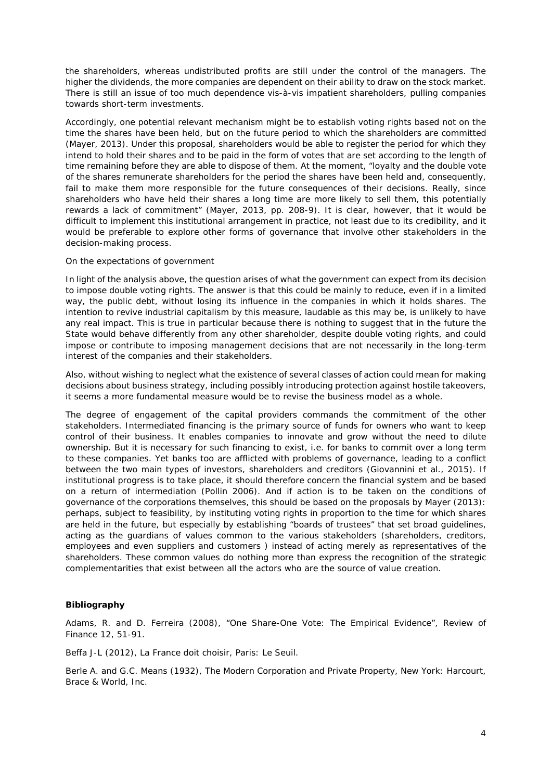the shareholders, whereas undistributed profits are still under the control of the managers. The higher the dividends, the more companies are dependent on their ability to draw on the stock market. There is still an issue of too much dependence vis-à-vis impatient shareholders, pulling companies towards short-term investments.

Accordingly, one potential relevant mechanism might be to establish voting rights based not on the time the shares have been held, but on the future period to which the shareholders are committed (Mayer, 2013). Under this proposal, shareholders would be able to register the period for which they intend to hold their shares and to be paid in the form of votes that are set according to the length of time remaining before they are able to dispose of them. At the moment, "loyalty and the double vote of the shares remunerate shareholders for the period the shares have been held and, consequently, fail to make them more responsible for the future consequences of their decisions. Really, since shareholders who have held their shares a long time are more likely to sell them, this potentially rewards a lack of commitment" (Mayer, 2013, pp. 208-9). It is clear, however, that it would be difficult to implement this institutional arrangement in practice, not least due to its credibility, and it would be preferable to explore other forms of governance that involve other stakeholders in the decision-making process.

#### *On the expectations of government*

In light of the analysis above, the question arises of what the government can expect from its decision to impose double voting rights. The answer is that this could be mainly to reduce, even if in a limited way, the public debt, without losing its influence in the companies in which it holds shares. The intention to revive industrial capitalism by this measure, laudable as this may be, is unlikely to have any real impact. This is true in particular because there is nothing to suggest that in the future the State would behave differently from any other shareholder, despite double voting rights, and could impose or contribute to imposing management decisions that are not necessarily in the long-term interest of the companies and their stakeholders.

Also, without wishing to neglect what the existence of several classes of action could mean for making decisions about business strategy, including possibly introducing protection against hostile takeovers, it seems a more fundamental measure would be to revise the business model as a whole.

The degree of engagement of the capital providers commands the commitment of the other stakeholders. Intermediated financing is the primary source of funds for owners who want to keep control of their business. It enables companies to innovate and grow without the need to dilute ownership. But it is necessary for such financing to exist, i.e. for banks to commit over a long term to these companies. Yet banks too are afflicted with problems of governance, leading to a conflict between the two main types of investors, shareholders and creditors (Giovannini et al., 2015). If institutional progress is to take place, it should therefore concern the financial system and be based on a return of intermediation (Pollin 2006). And if action is to be taken on the conditions of governance of the corporations themselves, this should be based on the proposals by Mayer (2013): perhaps, subject to feasibility, by instituting voting rights in proportion to the time for which shares are held in the future, but especially by establishing "boards of trustees" that set broad guidelines, acting as the guardians of values common to the various stakeholders (shareholders, creditors, employees and even suppliers and customers ) instead of acting merely as representatives of the shareholders. These common values do nothing more than express the recognition of the strategic complementarities that exist between all the actors who are the source of value creation.

### **Bibliography**

Adams, R. and D. Ferreira (2008), "One Share-One Vote: The Empirical Evidence", *Review of Finance* 12, 51-91.

Beffa J-L (2012), *La France doit choisir*, Paris: Le Seuil.

Berle A. and G.C. Means (1932), *The Modern Corporation and Private Property*, New York: Harcourt, Brace & World, Inc.